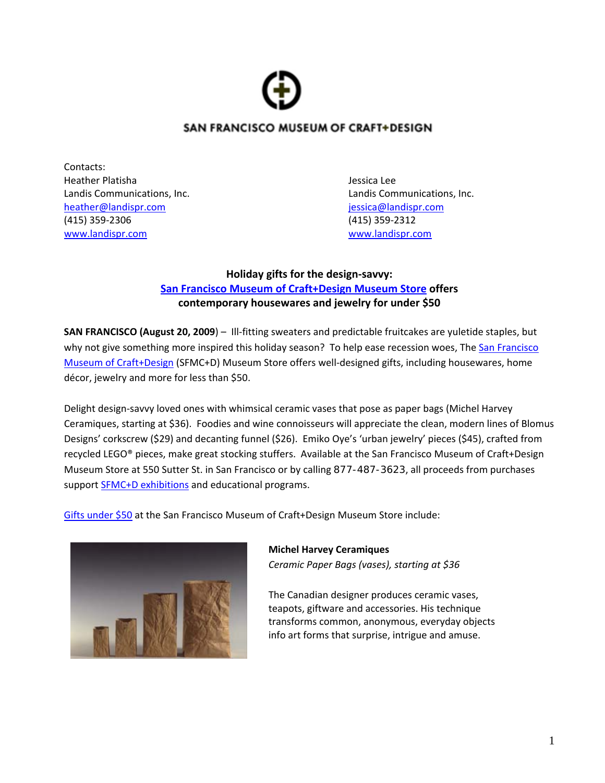

# SAN FRANCISCO MUSEUM OF CRAFT+DESIGN

Contacts: Heather Platisha Jessica Lee [heather@landispr.com](mailto:heather@landispr.com) [jessica@landispr.com](mailto:jessica@landispr.com) (415) 359‐2306 (415) 359‐2312 [www.landispr.com](http://www.landispr.com/) www.landispr.com

Landis Communications, Inc. Landis Communications, Inc.

## **Holiday gifts for the design‐savvy: San Francisco Museum of [Craft+Design](http://www.sfmcd.org/store_merch.htm) Museum Store offers contemporary housewares and jewelry for under \$50**

**SAN FRANCISCO (August 20, 2009**) – Ill‐fitting sweaters and predictable fruitcakes are yuletide staples, but why not give something more inspired this holiday season? To help ease recession woes, The San Francisco Museum of Craft+Design (SFMC+D) Museum Store offers well-designed gifts, including housewares, home décor, jewelry and more for less than \$50.

Delight design‐savvy loved ones with whimsical ceramic vases that pose as paper bags (Michel Harvey Ceramiques, starting at \$36). Foodies and wine connoisseurs will appreciate the clean, modern lines of Blomus Designs' corkscrew (\$29) and decanting funnel (\$26). Emiko Oye's 'urban jewelry' pieces (\$45), crafted from recycled LEGO® pieces, make great stocking stuffers. Available at the San Francisco Museum of Craft+Design Museum Store at 550 Sutter St. in San Francisco or by calling 877-487-3623, all proceeds from purchases support SFMC+D [exhibitions](http://www.sfmcd.org/exhibt_current.htm) and educational programs.

Gifts [under](http://www.sfmcd.org/store_merch.htm) \$50 at the San Francisco Museum of Craft+Design Museum Store include:



**Michel Harvey Ceramiques** *Ceramic Paper Bags (vases), starting at \$36*

The Canadian designer produces ceramic vases, teapots, giftware and accessories. His technique transforms common, anonymous, everyday objects info art forms that surprise, intrigue and amuse.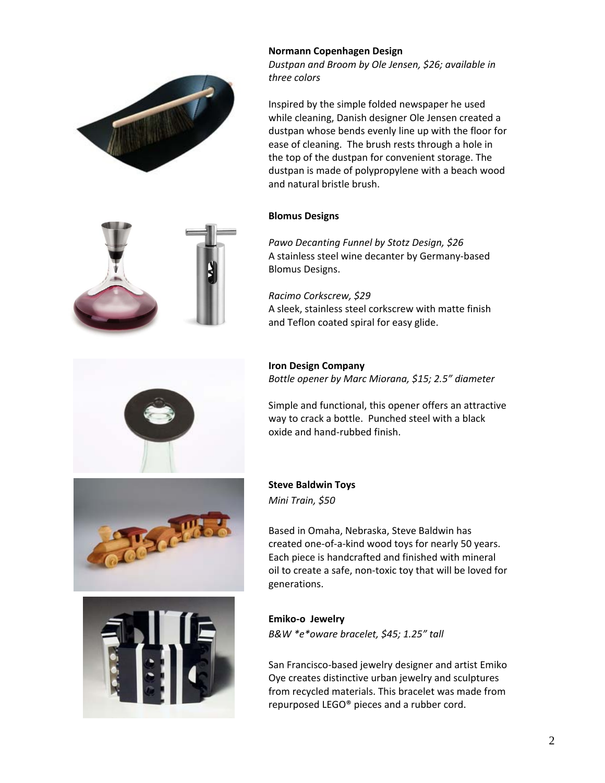



*Dustpan and Broom by Ole Jensen, \$26; available in three colors*

Inspired by the simple folded newspaper he used while cleaning, Danish designer Ole Jensen created a dustpan whose bends evenly line up with the floor for ease of cleaning. The brush rests through a hole in the top of the dustpan for convenient storage. The dustpan is made of polypropylene with a beach wood and natural bristle brush.

#### **Blomus Designs**

*Pawo Decanting Funnel by Stotz Design, \$26* A stainless steel wine decanter by Germany‐based Blomus Designs.

*Racimo Corkscrew, \$29* A sleek, stainless steel corkscrew with matte finish and Teflon coated spiral for easy glide.

## **Iron Design Company**

*Bottle opener by Marc Miorana, \$15; 2.5" diameter*

Simple and functional, this opener offers an attractive way to crack a bottle. Punched steel with a black oxide and hand‐rubbed finish.

## **Steve Baldwin Toys**

*Mini Train, \$50*

Based in Omaha, Nebraska, Steve Baldwin has created one‐of‐a‐kind wood toys for nearly 50 years. Each piece is handcrafted and finished with mineral oil to create a safe, non‐toxic toy that will be loved for generations.



#### **Emiko‐o Jewelry**

*B&W \*e\*oware bracelet, \$45; 1.25" tall*

San Francisco‐based jewelry designer and artist Emiko Oye creates distinctive urban jewelry and sculptures from recycled materials. This bracelet was made from repurposed LEGO® pieces and a rubber cord.